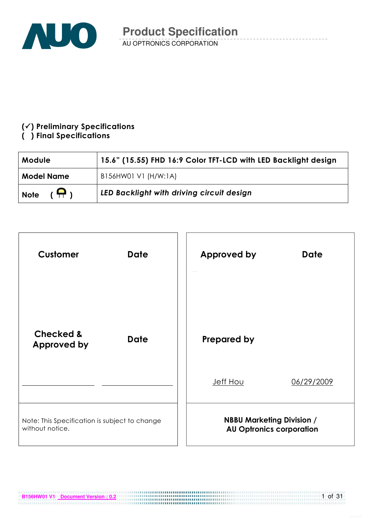

### $(\checkmark)$  Preliminary Specifications

#### () Final Specifications

| Module                       | 15.6" (15.55) FHD 16:9 Color TFT-LCD with LED Backlight design |  |  |  |
|------------------------------|----------------------------------------------------------------|--|--|--|
| <b>Model Name</b>            | B156HW01 V1 (H/W:1A)                                           |  |  |  |
| $(\bigoplus)$<br><b>Note</b> | LED Backlight with driving circuit design                      |  |  |  |

| <b>Customer</b>                                                  | <b>Date</b> | <b>Approved by</b> | <b>Date</b>                                                         |
|------------------------------------------------------------------|-------------|--------------------|---------------------------------------------------------------------|
| <b>Checked &amp;</b><br>Approved by                              | <b>Date</b> | <b>Prepared by</b> |                                                                     |
|                                                                  |             | <b>Jeff Hou</b>    | 06/29/2009                                                          |
| Note: This Specification is subject to change<br>without notice. |             |                    | <b>NBBU Marketing Division /</b><br><b>AU Optronics corporation</b> |

**B156HW01 V1 Document Version : 0.2 CONSUMER 2014 12:00 PM 2014 12:00 PM 2014 12:00 PM 2014 12:00 PM 2014 12:00 PM 2014 12:00 PM 2014 12:00 PM 2014 12:00 PM 2014 12:00 PM 2014 12:00 PM 2014 12:00 PM 2014 12:00 PM 2014**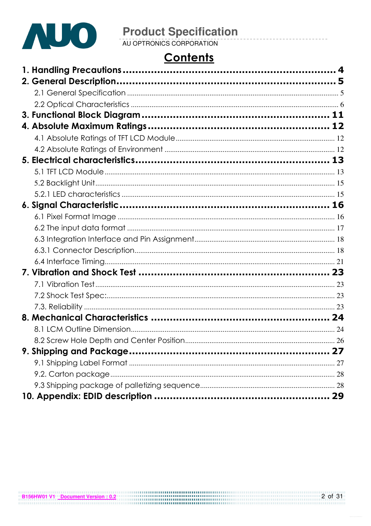

# **Product Specification**<br>AU OPTRONICS CORPORATION

# **Contents**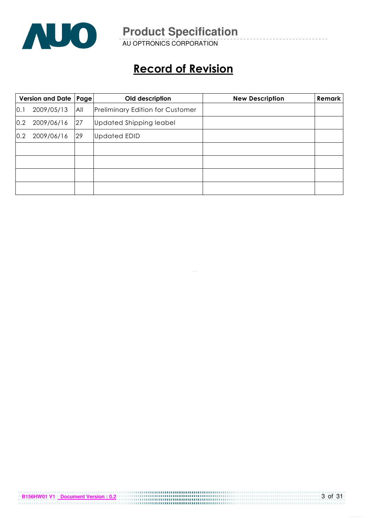

AU OPTRONICS CORPORATION

# Record of Revision

|     | Version and Date   Page |     | Old description                         | <b>New Description</b> | <b>Remark</b> |
|-----|-------------------------|-----|-----------------------------------------|------------------------|---------------|
| 0.1 | 2009/05/13              | All | <b>Preliminary Edition for Customer</b> |                        |               |
| 0.2 | 2009/06/16              | 27  | Updated Shipping leabel                 |                        |               |
| 0.2 | 2009/06/16              | 29  | <b>Updated EDID</b>                     |                        |               |
|     |                         |     |                                         |                        |               |
|     |                         |     |                                         |                        |               |
|     |                         |     |                                         |                        |               |
|     |                         |     |                                         |                        |               |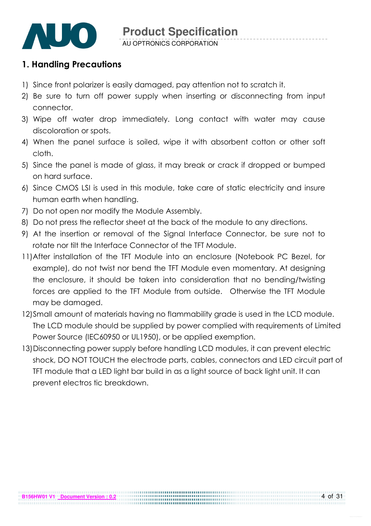

### 1. Handling Precautions

- 1) Since front polarizer is easily damaged, pay attention not to scratch it.
- 2) Be sure to turn off power supply when inserting or disconnecting from input connector.
- 3) Wipe off water drop immediately. Long contact with water may cause discoloration or spots.
- 4) When the panel surface is soiled, wipe it with absorbent cotton or other soft cloth.
- 5) Since the panel is made of glass, it may break or crack if dropped or bumped on hard surface.
- 6) Since CMOS LSI is used in this module, take care of static electricity and insure human earth when handling.
- 7) Do not open nor modify the Module Assembly.
- 8) Do not press the reflector sheet at the back of the module to any directions.
- 9) At the insertion or removal of the Signal Interface Connector, be sure not to rotate nor tilt the Interface Connector of the TFT Module.
- 11) After installation of the TFT Module into an enclosure (Notebook PC Bezel, for example), do not twist nor bend the TFT Module even momentary. At designing the enclosure, it should be taken into consideration that no bending/twisting forces are applied to the TFT Module from outside. Otherwise the TFT Module may be damaged.
- 12)Small amount of materials having no flammability grade is used in the LCD module. The LCD module should be supplied by power complied with requirements of Limited Power Source (IEC60950 or UL1950), or be applied exemption.
- 13)Disconnecting power supply before handling LCD modules, it can prevent electric shock, DO NOT TOUCH the electrode parts, cables, connectors and LED circuit part of TFT module that a LED light bar build in as a light source of back light unit. It can prevent electros tic breakdown.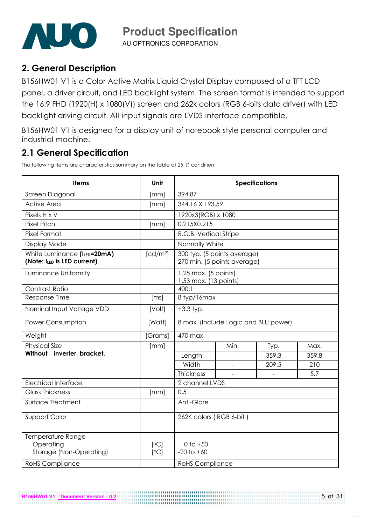

AU OPTRONICS CORPORATION

# 2. General Description

B156HW01 V1 is a Color Active Matrix Liquid Crystal Display composed of a TFT LCD panel, a driver circuit, and LED backlight system. The screen format is intended to support the 16:9 FHD (1920(H) x 1080(V)) screen and 262k colors (RGB 6-bits data driver) with LED backlight driving circuit. All input signals are LVDS interface compatible.

B156HW01 V1 is designed for a display unit of notebook style personal computer and industrial machine.

# 2.1 General Specification

The following items are characteristics summary on the table at 25  $\degree$ C condition:

**B156HW01 V1 Document Version : 0.2**

| <b>Items</b>                                               | Unit                 | <b>Specifications</b>                           |                                                            |       |       |  |  |
|------------------------------------------------------------|----------------------|-------------------------------------------------|------------------------------------------------------------|-------|-------|--|--|
| Screen Diagonal                                            | [mm]                 | 394.87                                          |                                                            |       |       |  |  |
| <b>Active Area</b>                                         | [mm]                 | 344.16 X 193.59                                 |                                                            |       |       |  |  |
| Pixels H x V                                               |                      | 1920x3(RGB) x 1080                              |                                                            |       |       |  |  |
| <b>Pixel Pitch</b>                                         | [mm]                 | 0.215X0.215                                     |                                                            |       |       |  |  |
| Pixel Format                                               |                      | R.G.B. Vertical Stripe                          |                                                            |       |       |  |  |
| Display Mode                                               |                      | Normally White                                  |                                                            |       |       |  |  |
| White Luminance (ILED=20mA)<br>(Note: ILED is LED current) | [cd/m <sup>2</sup> ] |                                                 | 300 typ. (5 points average)<br>270 min. (5 points average) |       |       |  |  |
| Luminance Uniformity                                       |                      | $1.25$ max. (5 points)<br>1.53 max. (13 points) |                                                            |       |       |  |  |
| Contrast Ratio                                             |                      | 400:1                                           |                                                            |       |       |  |  |
| Response Time                                              | [ms]                 | 8 typ/16max                                     |                                                            |       |       |  |  |
| Nominal Input Voltage VDD                                  | [Volt]               | $+3.3$ typ.                                     |                                                            |       |       |  |  |
| Power Consumption                                          | [Watt]               | 8 max. (Include Logic and BLU power)            |                                                            |       |       |  |  |
| Weight                                                     | [Grams]              | 470 max.                                        |                                                            |       |       |  |  |
| <b>Physical Size</b>                                       | [mm]                 |                                                 | Min.                                                       | Typ.  | Max.  |  |  |
| Without inverter, bracket.                                 |                      | Length                                          |                                                            | 359.3 | 359.8 |  |  |
|                                                            |                      | Width                                           |                                                            | 209.5 | 210   |  |  |
|                                                            |                      | Thickness                                       |                                                            |       | 5.7   |  |  |
| <b>Electrical Interface</b>                                |                      | 2 channel LVDS                                  |                                                            |       |       |  |  |
| <b>Glass Thickness</b>                                     | [mm]                 | 0.5                                             |                                                            |       |       |  |  |
| Surface Treatment                                          |                      | Anti-Glare                                      |                                                            |       |       |  |  |
| Support Color                                              |                      | 262K colors (RGB 6-bit)                         |                                                            |       |       |  |  |
| Temperature Range<br>Operating<br>Storage (Non-Operating)  | [°C]<br>[°C]         | $0$ to $+50$<br>$-20$ to $+60$                  |                                                            |       |       |  |  |
| <b>RoHS Compliance</b>                                     |                      | <b>RoHS Compliance</b>                          |                                                            |       |       |  |  |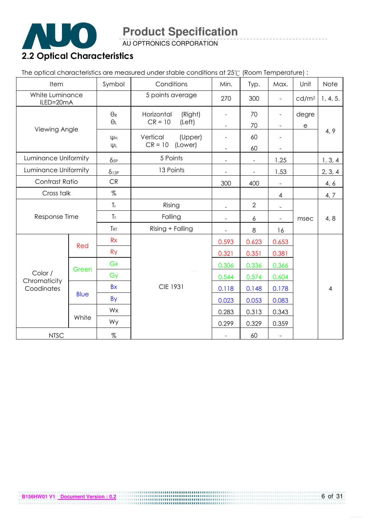

AU OPTRONICS CORPORATION

# 2.2 Optical Characteristics

The optical characteristics are measured under stable conditions at 25°C (Room Temperature) :

| Item                         |             | Symbol          | Conditions            | Min.                     | Typ.                     | Max.                     | Unit                 | Note           |
|------------------------------|-------------|-----------------|-----------------------|--------------------------|--------------------------|--------------------------|----------------------|----------------|
| White Luminance<br>ILED=20mA |             |                 | 5 points average      | 270                      | 300                      | $\frac{1}{2}$            | cd/m <sup>2</sup>    | 1, 4, 5.       |
| Viewing Angle                |             | $\Theta_{R}$    | Horizontal<br>(Right) |                          | 70                       | $\overline{\phantom{0}}$ | degre                |                |
|                              |             | $\Theta_L$      | $CR = 10$<br>(Left)   |                          | 70                       |                          | $\boldsymbol{\rm e}$ |                |
|                              |             | ΨH              | Vertical<br>(Upper)   |                          | 60                       |                          |                      | 4, 9           |
|                              |             | $\Psi L$        | $CR = 10$<br>(Lower)  |                          | 60                       |                          |                      |                |
| Luminance Uniformity         |             | $\delta_{5P}$   | 5 Points              | $\overline{\phantom{a}}$ | $\overline{\phantom{a}}$ | 1.25                     |                      | 1, 3, 4        |
| Luminance Uniformity         |             | $\delta$ 13P    | 13 Points             |                          |                          | 1.53                     |                      | 2, 3, 4        |
| Contrast Ratio               |             | ${\sf CR}$      |                       | 300                      | 400                      |                          |                      | 4, 6           |
| Cross talk                   |             | %               |                       |                          |                          | 4                        |                      | 4, 7           |
|                              |             | $T_r$           | Rising                |                          | $\overline{2}$           |                          |                      |                |
| Response Time                |             | $T_f$           | Falling               |                          | $\boldsymbol{6}$         |                          | msec                 | 4, 8           |
|                              |             | T <sub>RT</sub> | Rising + Falling      | $\overline{\phantom{a}}$ | $\,8\,$                  | 16                       |                      |                |
|                              |             | Rx              |                       | 0.593                    | 0.623                    | 0.653                    |                      |                |
|                              | Red         | <b>Ry</b>       |                       | 0.321                    | 0.351                    | 0.381                    |                      |                |
|                              |             | Gx              |                       | 0.306                    | 0.336                    | 0.366                    |                      |                |
| Color /                      | Green       | Gy              |                       | 0.544                    | 0.574                    | 0.604                    |                      |                |
| Chromaticity<br>Coodinates   |             | <b>Bx</b>       | <b>CIE 1931</b>       | 0.118                    | 0.148                    | 0.178                    |                      | $\overline{4}$ |
|                              | <b>Blue</b> | By              |                       | 0.023                    | 0.053                    | 0.083                    |                      |                |
|                              |             | Wx              |                       | 0.283                    | 0.313                    | 0.343                    |                      |                |
|                              | White       | Wy              |                       | 0.299                    | 0.329                    | 0.359                    |                      |                |
| <b>NTSC</b>                  |             | $\%$            |                       |                          | 60                       | $\overline{\phantom{a}}$ |                      |                |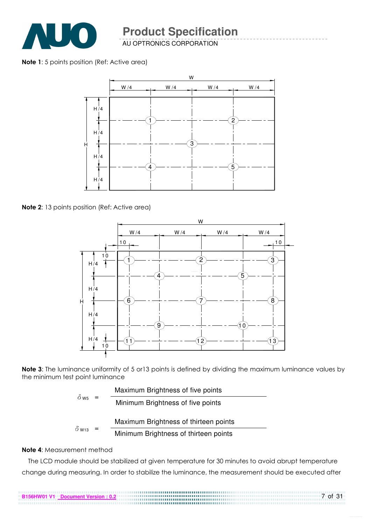

AU OPTRONICS CORPORATION

#### Note 1: 5 points position (Ref: Active area)



Note 2: 13 points position (Ref: Active area)



Note 3: The luminance uniformity of 5 or 13 points is defined by dividing the maximum luminance values by the minimum test point luminance

|                         |     | Maximum Brightness of five points     |
|-------------------------|-----|---------------------------------------|
| $\delta$ W <sub>5</sub> | $=$ | Minimum Brightness of five points     |
|                         |     | Maximum Brightness of thirteen points |
| $\delta$ W13            | $=$ | Minimum Brightness of thirteen points |

**B156HW01 V1 Document Version : 0.2**

#### Note 4: Measurement method

The LCD module should be stabilized at given temperature for 30 minutes to avoid abrupt temperature change during measuring. In order to stabilize the luminance, the measurement should be executed after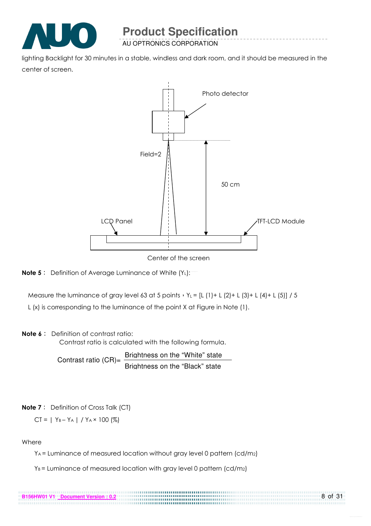

AU OPTRONICS CORPORATION

lighting Backlight for 30 minutes in a stable, windless and dark room, and it should be measured in the center of screen.



Center of the screen



Measure the luminance of gray level 63 at 5 points  $Y_L = [L (1) + L (2) + L (3) + L (4) + L (5)] / 5$ 

L (x) is corresponding to the luminance of the point X at Figure in Note (1).

#### Note 6: Definition of contrast ratio:

Contrast ratio is calculated with the following formula.

Contrast ratio  $(CR)$ = Brightness on the "White" state Brightness on the "Black" state

#### **Note 7**: Definition of Cross Talk (CT)

$$
CT = | Y_B - Y_A | / Y_A \times 100 (%)
$$

**B156HW01 V1 Document Version : 0.2**

#### Where

YA = Luminance of measured location without gray level 0 pattern (cd/m2)

.............

8 of 31

 $Y_B$  = Luminance of measured location with gray level 0 pattern (cd/m2)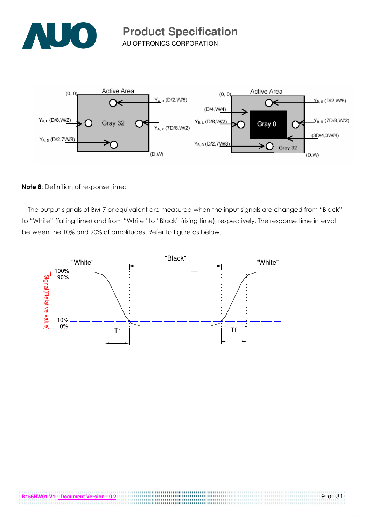

AU OPTRONICS CORPORATION



#### Note 8: Definition of response time:

The output signals of BM-7 or equivalent are measured when the input signals are changed from "Black" to "White" (falling time) and from "White" to "Black" (rising time), respectively. The response time interval between the 10% and 90% of amplitudes. Refer to figure as below.



.....................................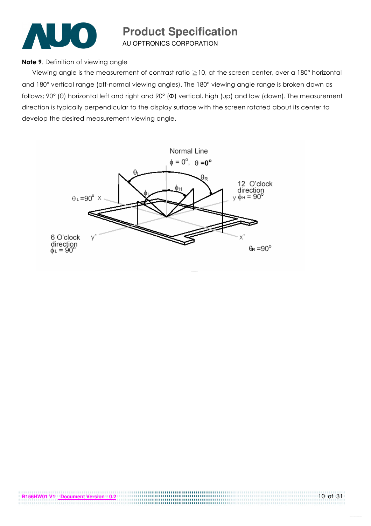

AU OPTRONICS CORPORATION

#### Note 9. Definition of viewing angle

Viewing angle is the measurement of contrast ratio  $\geq$  10, at the screen center, over a 180° horizontal and 180° vertical range (off-normal viewing angles). The 180° viewing angle range is broken down as follows; 90° (θ) horizontal left and right and 90° (Φ) vertical, high (up) and low (down). The measurement direction is typically perpendicular to the display surface with the screen rotated about its center to develop the desired measurement viewing angle.

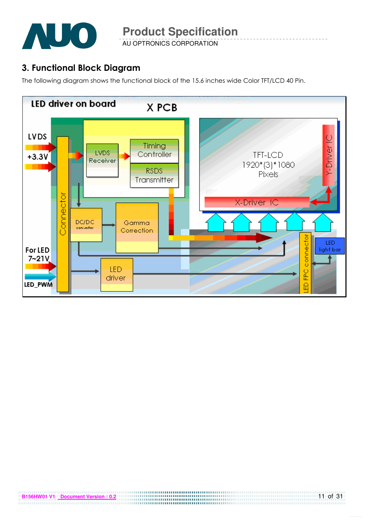

AU OPTRONICS CORPORATION

# 3. Functional Block Diagram

The following diagram shows the functional block of the 15.6 inches wide Color TFT/LCD 40 Pin.

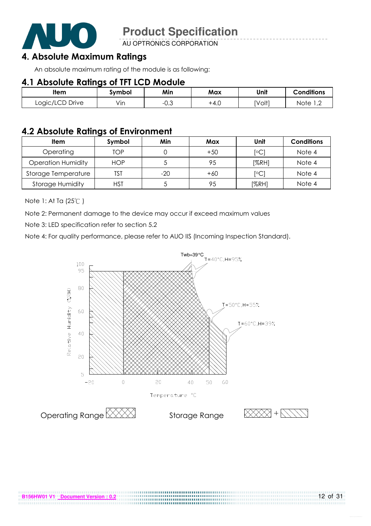

AU OPTRONICS CORPORATION

### 4. Absolute Maximum Ratings

An absolute maximum rating of the module is as following:

### 4.1 Absolute Ratings of TFT LCD Module

| ltem            | Svmbol | Min                   | Max    | Unit   | <b>Conditions</b>      |
|-----------------|--------|-----------------------|--------|--------|------------------------|
| Logic/LCD Drive | Vın    | $\sim$ $\sim$<br>−∪.◡ | $+4.0$ | [Volt] | Note<br>$\overline{ }$ |

### 4.2 Absolute Ratings of Environment

| <b>Item</b>               | Symbol     | Min   | Max   | Unit           | <b>Conditions</b> |
|---------------------------|------------|-------|-------|----------------|-------------------|
| Operating                 | TOP        |       | $+50$ | $\overline{C}$ | Note 4            |
| <b>Operation Humidity</b> | <b>HOP</b> |       | 95    | [%RH]          | Note 4            |
| Storage Temperature       | TST        | $-20$ | $+60$ | $\overline{C}$ | Note 4            |
| <b>Storage Humidity</b>   | HST        |       | 95    | [%RH]          | Note 4            |

Note 1: At Ta (25°C)

Note 2: Permanent damage to the device may occur if exceed maximum values

Note 3: LED specification refer to section 5.2

Note 4: For quality performance, please refer to AUO IIS (Incoming Inspection Standard).

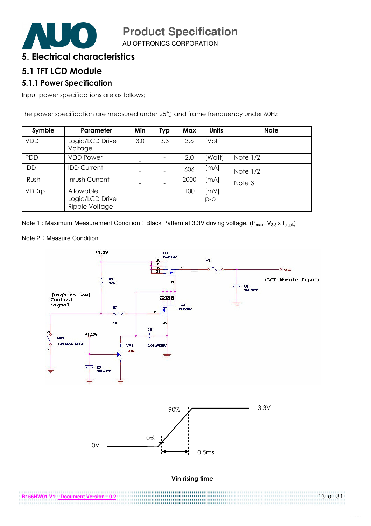

AU OPTRONICS CORPORATION

### 5. Electrical characteristics

### 5.1 TFT LCD Module

#### 5.1.1 Power Specification

Input power specifications are as follows;

The power specification are measured under  $25^{\circ}$  and frame frenquency under 60Hz

| Symble       | Parameter                                      | Min | Typ | Max  | <b>Units</b>  | <b>Note</b> |
|--------------|------------------------------------------------|-----|-----|------|---------------|-------------|
| <b>VDD</b>   | Logic/LCD Drive<br>Voltage                     | 3.0 | 3.3 | 3.6  | [Volt]        |             |
| <b>PDD</b>   | <b>VDD Power</b>                               |     |     | 2.0  | [Watt]        | Note $1/2$  |
| IDD          | <b>IDD Current</b>                             |     |     | 606  | [mA]          | Note $1/2$  |
| <b>IRush</b> | Inrush Current                                 |     |     | 2000 | [MA]          | Note 3      |
| VDDrp        | Allowable<br>Logic/LCD Drive<br>Ripple Voltage |     |     | 100  | [mV]<br>$p-p$ |             |

Note 1 : Maximum Measurement Condition : Black Pattern at 3.3V driving voltage. ( $P_{max}=V_{3.3} \times I_{black}$ )

Note 2: Measure Condition



**B156HW01 V1 Document Version : 0.2** 13 of 31 ,,,,,,,,,,,,,,,,,,,,,,,,,,,,,,,,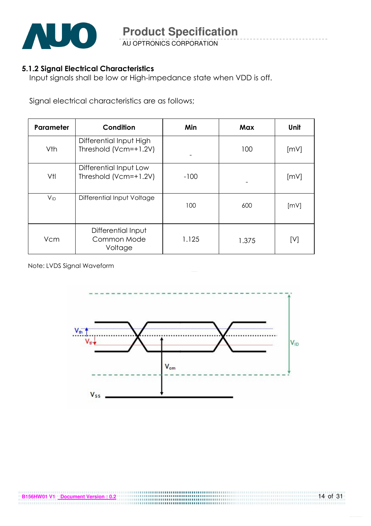

AU OPTRONICS CORPORATION

#### 5.1.2 Signal Electrical Characteristics

Input signals shall be low or High-impedance state when VDD is off.

Signal electrical characteristics are as follows;

| Parameter | Condition                                        | Min    | Max   | Unit |
|-----------|--------------------------------------------------|--------|-------|------|
| Vth       | Differential Input High<br>Threshold (Vcm=+1.2V) |        | 100   | [mV] |
| Vtl       | Differential Input Low<br>Threshold (Vcm=+1.2V)  | $-100$ |       | [mV] |
| $V_{ID}$  | Differential Input Voltage                       | 100    | 600   | [mV] |
| Vcm       | Differential Input<br>Common Mode<br>Voltage     | 1.125  | 1.375 | [V]  |

Note: LVDS Signal Waveform

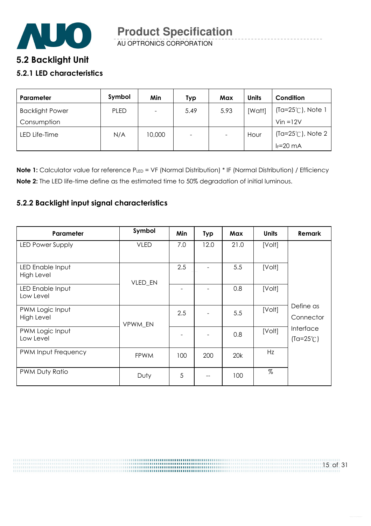

# **5**.2 Backlight Unit

#### 5.2.1 LED characteristics

| Parameter              | Symbol      | Min    | Typ  | Max  | <b>Units</b> | Condition                   |
|------------------------|-------------|--------|------|------|--------------|-----------------------------|
| <b>Backlight Power</b> | <b>PLED</b> |        | 5.49 | 5.93 | [Watt]       | $(Ta=25^{\circ}C)$ , Note 1 |
| Consumption            |             |        |      |      |              | $V$ in = $12V$              |
| LED Life-Time          | N/A         | 10,000 | -    |      | Hour         | (Ta=25℃), Note 2            |
|                        |             |        |      |      |              | $I_F=20$ mA                 |

Note 1: Calculator value for reference PLED = VF (Normal Distribution) \* IF (Normal Distribution) / Efficiency Note 2: The LED life-time define as the estimated time to 50% degradation of initial luminous.

#### 5.2.2 Backlight input signal characteristics

| Parameter                      | Symbol      | Min | <b>Typ</b> | Max  | <b>Units</b> | <b>Remark</b>                   |
|--------------------------------|-------------|-----|------------|------|--------------|---------------------------------|
| LED Power Supply               | <b>VLED</b> | 7.0 | 12.0       | 21.0 | [Volt]       |                                 |
| LED Enable Input<br>High Level | VLED_EN     | 2.5 |            | 5.5  | [Volt]       |                                 |
| LED Enable Input<br>Low Level  |             |     |            | 0.8  | [Volt]       |                                 |
| PWM Logic Input<br>High Level  | VPWM EN     | 2.5 |            | 5.5  | [Volt]       | Define as<br>Connector          |
| PWM Logic Input<br>Low Level   |             |     |            | 0.8  | [Volt]       | Interface<br>$(Ta=25^{\circ}C)$ |
| PWM Input Frequency            | <b>FPWM</b> | 100 | 200        | 20k  | Hz           |                                 |
| PWM Duty Ratio                 | Duty        | 5   |            | 100  | $\%$         |                                 |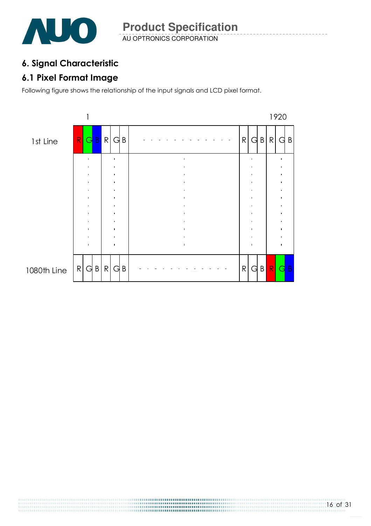

# 6. Signal Characteristic

# 6.1 Pixel Format Image

Following figure shows the relationship of the input signals and LCD pixel format.

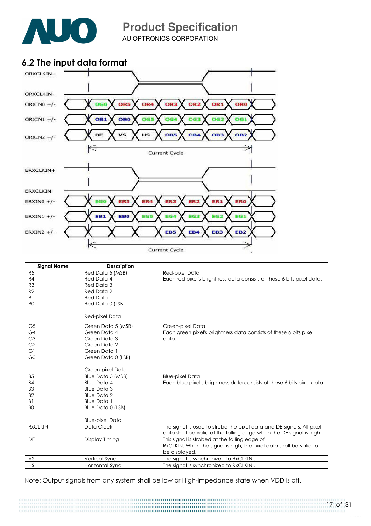

AU OPTRONICS CORPORATION

# 6.2 The input data format



| <b>Signal Name</b>   | <b>Description</b>           |                                                                        |
|----------------------|------------------------------|------------------------------------------------------------------------|
| R <sub>5</sub>       | Red Data 5 (MSB)             | Red-pixel Data                                                         |
| R4                   | Red Data 4                   | Each red pixel's brightness data consists of these 6 bits pixel data.  |
| R <sub>3</sub>       | Red Data 3                   |                                                                        |
| R <sub>2</sub>       | Red Data 2                   |                                                                        |
| R <sub>1</sub>       | Red Data 1                   |                                                                        |
| R <sub>0</sub>       | Red Data 0 (LSB)             |                                                                        |
|                      | Red-pixel Data               |                                                                        |
|                      |                              |                                                                        |
| G <sub>5</sub>       | Green Data 5 (MSB)           | Green-pixel Data                                                       |
| G4<br>G <sub>3</sub> | Green Data 4                 | Each green pixel's brightness data consists of these 6 bits pixel      |
| G <sub>2</sub>       | Green Data 3                 | data.                                                                  |
| G1                   | Green Data 2<br>Green Data 1 |                                                                        |
| G <sub>0</sub>       | Green Data 0 (LSB)           |                                                                        |
|                      |                              |                                                                        |
|                      | Green-pixel Data             |                                                                        |
| B <sub>5</sub>       | Blue Data 5 (MSB)            | <b>Blue-pixel Data</b>                                                 |
| <b>B4</b>            | <b>Blue Data 4</b>           | Each blue pixel's brightness data consists of these 6 bits pixel data. |
| B <sub>3</sub>       | <b>Blue Data 3</b>           |                                                                        |
| <b>B2</b>            | <b>Blue Data 2</b>           |                                                                        |
| B <sub>1</sub>       | <b>Blue Data 1</b>           |                                                                        |
| B <sub>O</sub>       | Blue Data 0 (LSB)            |                                                                        |
|                      |                              |                                                                        |
|                      | <b>Blue-pixel Data</b>       |                                                                        |
| <b>RxCLKIN</b>       | Data Clock                   | The signal is used to strobe the pixel data and DE signals. All pixel  |
|                      |                              | data shall be valid at the falling edge when the DE signal is high     |
| <b>DE</b>            | Display Timing               | This signal is strobed at the falling edge of                          |
|                      |                              | RxCLKIN. When the signal is high, the pixel data shall be valid to     |
|                      |                              | be displayed.                                                          |
| VS                   | Vertical Sync                | The signal is synchronized to RxCLKIN.                                 |
| <b>HS</b>            | Horizontal Sync              | The signal is synchronized to RxCLKIN.                                 |

Note: Output signals from any system shall be low or High-impedance state when VDD is off.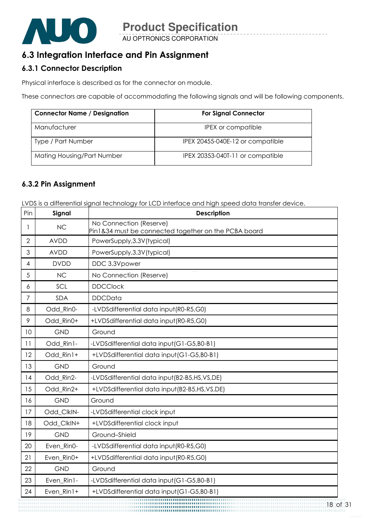

# 6.3 Integration Interface and Pin Assignment

### 6.3.1 Connector Description

Physical interface is described as for the connector on module.

These connectors are capable of accommodating the following signals and will be following components.

| <b>Connector Name / Designation</b> | <b>For Signal Connector</b>      |
|-------------------------------------|----------------------------------|
| Manufacturer                        | IPEX or compatible               |
| Type / Part Number                  | IPEX 20455-040E-12 or compatible |
| Mating Housing/Part Number          | IPEX 20353-040T-11 or compatible |

#### 6.3.2 Pin Assignment

LVDS is a differential signal technology for LCD interface and high speed data transfer device.

| Pin            | Signal      | <b>Description</b>                                                              |
|----------------|-------------|---------------------------------------------------------------------------------|
| 1              | <b>NC</b>   | No Connection (Reserve)<br>Pin1&34 must be connected together on the PCBA board |
| $\overline{2}$ | <b>AVDD</b> | PowerSupply, 3.3V (typical)                                                     |
| 3              | <b>AVDD</b> | PowerSupply, 3.3V (typical)                                                     |
| 4              | <b>DVDD</b> | DDC 3.3Vpower                                                                   |
| 5              | <b>NC</b>   | No Connection (Reserve)                                                         |
| 6              | SCL         | <b>DDCClock</b>                                                                 |
| 7              | <b>SDA</b>  | <b>DDCData</b>                                                                  |
| 8              | Odd_Rin0-   | -LVDSdifferential data input (R0-R5,G0)                                         |
| 9              | Odd_Rin0+   | +LVDSdifferential data input(R0-R5,G0)                                          |
| 10             | <b>GND</b>  | Ground                                                                          |
| 11             | Odd_Rin1-   | -LVDSdifferential data input (G1-G5, B0-B1)                                     |
| 12             | Odd Rin1+   | +LVDSdifferential data input(G1-G5,B0-B1)                                       |
| 13             | <b>GND</b>  | Ground                                                                          |
| 14             | Odd_Rin2-   | -LVDSdifferential data input(B2-B5,HS,VS,DE)                                    |
| 15             | Odd_Rin2+   | +LVDSdifferential data input(B2-B5,HS,VS,DE)                                    |
| 16             | <b>GND</b>  | Ground                                                                          |
| 17             | Odd ClkIN-  | -LVDSdifferential clock input                                                   |
| 18             | Odd_ClkIN+  | +LVDSdifferential clock input                                                   |
| 19             | <b>GND</b>  | Ground-Shield                                                                   |
| 20             | Even_Rin0-  | -LVDSdifferential data input(R0-R5,G0)                                          |
| 21             | Even Rin0+  | +LVDSdifferential data input(R0-R5,G0)                                          |
| 22             | <b>GND</b>  | Ground                                                                          |
| 23             | Even_Rin1-  | -LVDSdifferential data input (G1-G5, B0-B1)                                     |
| 24             | Even_Rin1+  | +LVDSdifferential data input(G1-G5,B0-B1)                                       |
|                |             | 18 <sub>c</sub>                                                                 |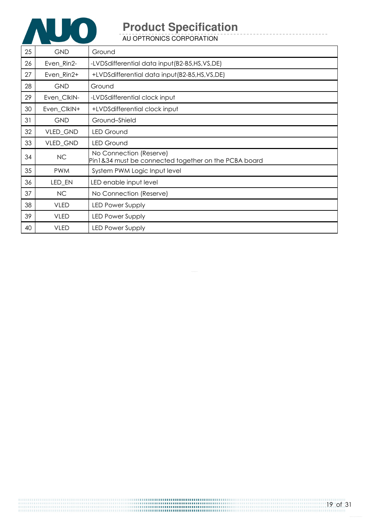

AU OPTRONICS CORPORATION

| 25 | <b>GND</b>  | Ground                                                                          |
|----|-------------|---------------------------------------------------------------------------------|
| 26 | Even_Rin2-  | -LVDSdifferential data input(B2-B5,HS,VS,DE)                                    |
| 27 | Even_Rin2+  | +LVDSdifferential data input(B2-B5,HS,VS,DE)                                    |
| 28 | <b>GND</b>  | Ground                                                                          |
| 29 | Even_ClkIN- | -LVDSdifferential clock input                                                   |
| 30 | Even_ClkIN+ | +LVDSdifferential clock input                                                   |
| 31 | <b>GND</b>  | Ground-Shield                                                                   |
| 32 | VLED_GND    | <b>LED Ground</b>                                                               |
| 33 | VLED_GND    | <b>LED Ground</b>                                                               |
| 34 | NC          | No Connection (Reserve)<br>Pin1&34 must be connected together on the PCBA board |
| 35 | <b>PWM</b>  | System PWM Logic Input level                                                    |
| 36 | LED_EN      | LED enable input level                                                          |
| 37 | NC          | No Connection (Reserve)                                                         |
| 38 | <b>VLED</b> | <b>LED Power Supply</b>                                                         |
| 39 | <b>VLED</b> | <b>LED Power Supply</b>                                                         |
| 40 | <b>VLED</b> | <b>LED Power Supply</b>                                                         |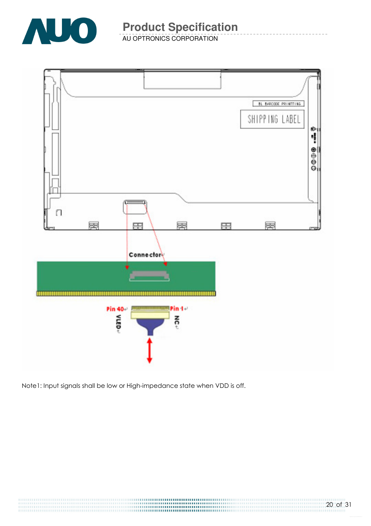

AU OPTRONICS CORPORATION



Note1: Input signals shall be low or High-impedance state when VDD is off.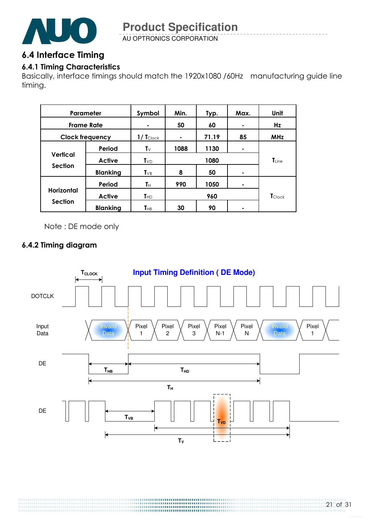

AU OPTRONICS CORPORATION

### 6.4 Interface Timing

### 6.4.1 Timing Characteristics

Basically, interface timings should match the 1920x1080 /60Hz manufacturing guide line timing.

| Parameter                           |                 | Symbol                  | Min. | Typ.  | Max. | Unit              |
|-------------------------------------|-----------------|-------------------------|------|-------|------|-------------------|
| <b>Frame Rate</b>                   |                 |                         | 50   | 60    |      | Hz                |
| <b>Clock frequency</b>              |                 | $1/$ Tclock             | ۰    | 71.19 | 85   | <b>MHz</b>        |
|                                     | Period          | $\mathsf{T}_\mathsf{V}$ | 1088 | 1130  | ۰    |                   |
| <b>Vertical</b>                     | <b>Active</b>   | $T_{VD}$                | 1080 |       |      | $\mathsf{T}$ Line |
| <b>Section</b>                      | <b>Blanking</b> | $T_{VB}$                | 8    | 50    | ۰    |                   |
|                                     | Period          | Tн                      | 990  | 1050  | ۰    |                   |
| <b>Horizontal</b><br><b>Section</b> | <b>Active</b>   | T <sub>HD</sub>         | 960  |       |      | <b>T</b> Clock    |
|                                     | <b>Blanking</b> | $T_{HB}$                | 30   | 90    |      |                   |

Note : DE mode only

### 6.4.2 Timing diagram

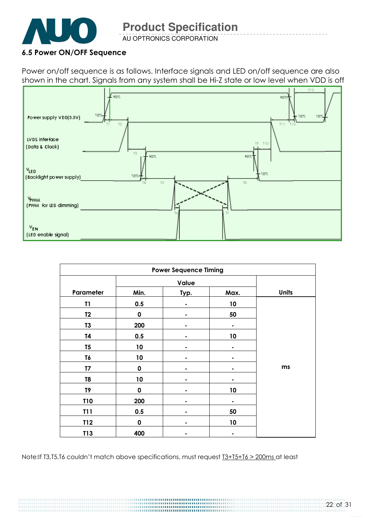

AU OPTRONICS CORPORATION

#### 6.5 Power ON/OFF Sequence

Power on/off sequence is as follows. Interface signals and LED on/off sequence are also shown in the chart. Signals from any system shall be Hi-Z state or low level when VDD is off



| <b>Power Sequence Timing</b> |             |      |      |              |  |  |
|------------------------------|-------------|------|------|--------------|--|--|
|                              |             |      |      |              |  |  |
| Parameter                    | Min.        | Typ. | Max. | <b>Units</b> |  |  |
| T1                           | 0.5         |      | 10   |              |  |  |
| T2                           | $\mathbf 0$ | ٠    | 50   |              |  |  |
| T <sub>3</sub>               | 200         |      |      |              |  |  |
| T4                           | 0.5         |      | 10   |              |  |  |
| T <sub>5</sub>               | 10          |      |      |              |  |  |
| T6                           | 10          |      |      |              |  |  |
| T <sub>7</sub>               | $\mathbf 0$ |      |      | ms           |  |  |
| T <sub>8</sub>               | 10          |      |      |              |  |  |
| T9                           | $\mathbf 0$ |      | 10   |              |  |  |
| <b>T10</b>                   | 200         |      |      |              |  |  |
| <b>T11</b>                   | 0.5         |      | 50   |              |  |  |
| T12                          | $\mathbf 0$ |      | 10   |              |  |  |
| T13                          | 400         |      |      |              |  |  |

Note:If T3,T5,T6 couldn't match above specifications, must request T3+T5+T6 > 200ms at least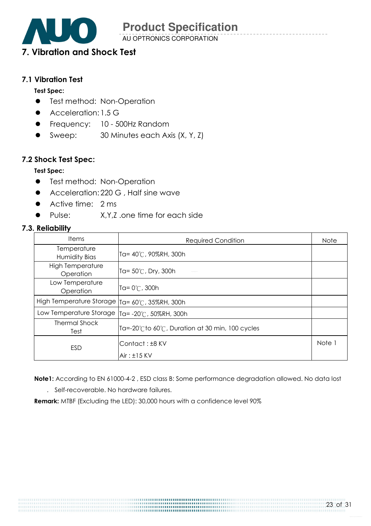AU OPTRONICS CORPORATION

# 7. Vibration and Shock Test

#### 7.1 Vibration Test

#### Test Spec:

- **•** Test method: Non-Operation
- Acceleration: 1.5 G
- **•** Frequency: 10 500Hz Random
- Sweep: 30 Minutes each Axis (X, Y, Z)

#### 7.2 Shock Test Spec:

#### Test Spec:

- **•** Test method: Non-Operation
- Acceleration: 220 G, Half sine wave
- Active time: 2 ms
- Pulse: X,Y,Z .one time for each side

#### 7.3. Reliability

| <b>Items</b>                                     | <b>Required Condition</b>                     | <b>Note</b> |
|--------------------------------------------------|-----------------------------------------------|-------------|
| Temperature<br>Humidity Bias                     | Ta= 40°C, 90%RH, 300h                         |             |
| <b>High Temperature</b><br>Operation             | Ta= $50^{\circ}$ C, Dry, 300h                 |             |
| Low Temperature<br>Operation                     | Ta= $0^{\circ}$ C, 300h                       |             |
| High Temperature Storage                         | Ta= 60°C, 35%RH, 300h                         |             |
| Low Temperature Storage   Ta= -20°C, 50%RH, 300h |                                               |             |
| <b>Thermal Shock</b><br>Test                     | Ta=-20℃to 60℃, Duration at 30 min, 100 cycles |             |
| ESD                                              | Contact: ±8 KV                                | Note 1      |
|                                                  | $Air: \pm 15$ KV                              |             |

Note1: According to EN 61000-4-2 , ESD class B: Some performance degradation allowed. No data lost

. Self-recoverable. No hardware failures.

Remark: MTBF (Excluding the LED): 30,000 hours with a confidence level 90%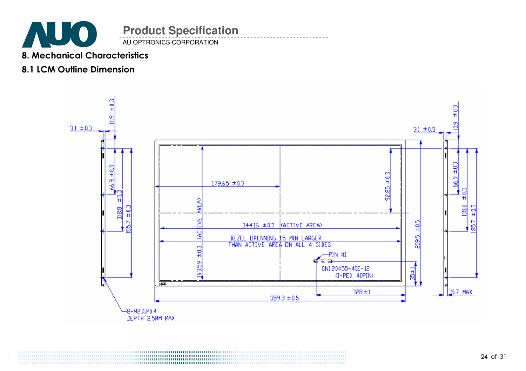

# 8. Mechanical Characteristics

# 8.1 LCM Outline Dimension

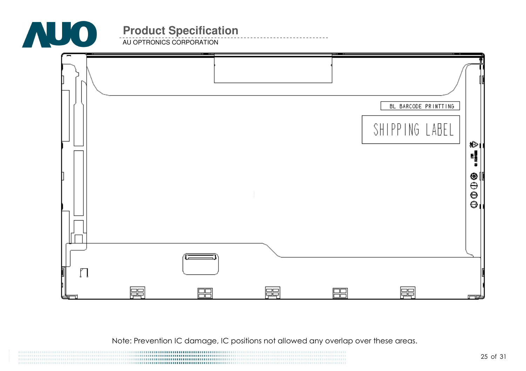

**AU OPTRONICS CORPORATION** 

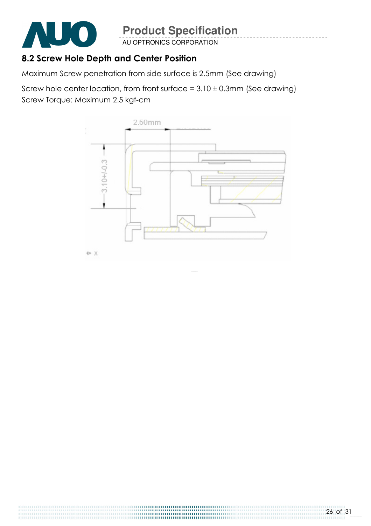

AU OPTRONICS CORPORATION

# 8.2 Screw Hole Depth and Center Position

Maximum Screw penetration from side surface is 2.5mm (See drawing)

Screw hole center location, from front surface =  $3.10 \pm 0.3$ mm (See drawing) Screw Torque: Maximum 2.5 kgf-cm

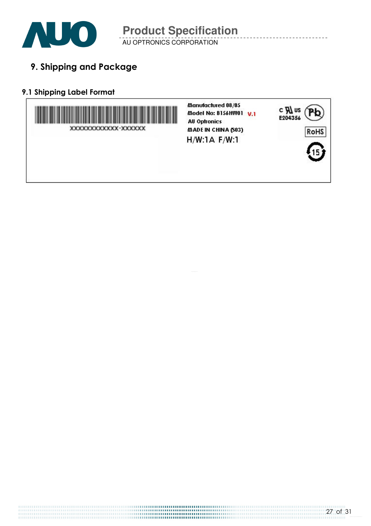

AU OPTRONICS CORPORATION

9. Shipping and Package

### 9.1 Shipping Label Format

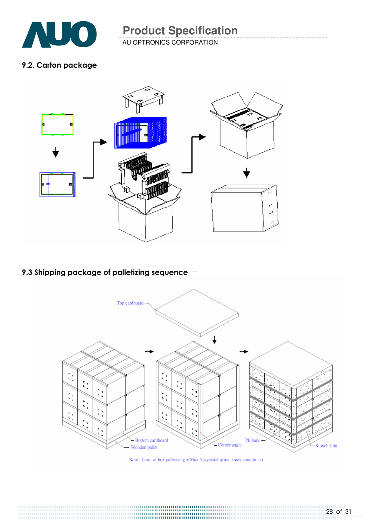

AU OPTRONICS CORPORATION

### 9.2. Carton package



### 9.3 Shipping package of palletizing sequence



Note: Limit of box palletizing  $=$  Max 3 layers(ship and stock conditions)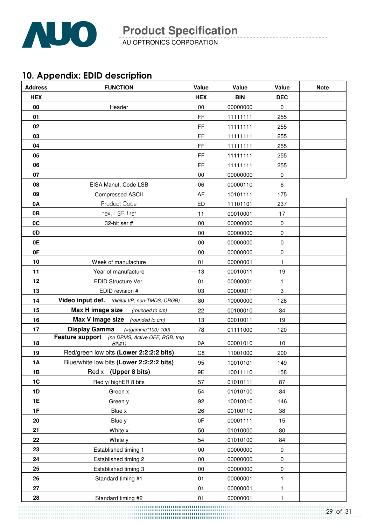

AU OPTRONICS CORPORATION

# 10. Appendix: EDID description

| <b>Address</b> | <b>FUNCTION</b>                                          | Value          | Value      | Value       | <b>Note</b> |
|----------------|----------------------------------------------------------|----------------|------------|-------------|-------------|
| <b>HEX</b>     |                                                          | <b>HEX</b>     | <b>BIN</b> | <b>DEC</b>  |             |
| 00             | Header                                                   | 00             | 00000000   | $\mathbf 0$ |             |
| 01             |                                                          | FF             | 11111111   | 255         |             |
| 02             |                                                          | FF             | 11111111   | 255         |             |
| 03             |                                                          | FF             | 11111111   | 255         |             |
| 04             |                                                          | FF             | 11111111   | 255         |             |
| 05             |                                                          | FF             | 11111111   | 255         |             |
| 06             |                                                          | FF             | 11111111   | 255         |             |
| 07             |                                                          | 00             | 00000000   | $\pmb{0}$   |             |
| 08             | EISA Manuf. Code LSB                                     | 06             | 00000110   | 6           |             |
| 09             | <b>Compressed ASCII</b>                                  | AF             | 10101111   | 175         |             |
| 0A             | Product Code                                             | ED             | 11101101   | 237         |             |
| 0B             | hex, LSB first                                           | 11             | 00010001   | 17          |             |
| 0C             | 32-bit ser #                                             | 00             | 00000000   | $\pmb{0}$   |             |
| 0D             |                                                          | 00             | 00000000   | $\pmb{0}$   |             |
| 0E             |                                                          | 00             | 00000000   | $\pmb{0}$   |             |
| 0F             |                                                          | 00             | 00000000   | $\pmb{0}$   |             |
| 10             | Week of manufacture                                      | 01             | 00000001   | 1           |             |
| 11             | Year of manufacture                                      | 13             | 00010011   | 19          |             |
| 12             | EDID Structure Ver.                                      | 01             | 00000001   | 1           |             |
| 13             | EDID revision #                                          | 03             | 00000011   | 3           |             |
| 14             | Video input def. (digital I/P, non-TMDS, CRGB)           | 80             | 10000000   | 128         |             |
| 15             | Max H image size<br>(rounded to cm)                      | 22             | 00100010   | 34          |             |
| 16             | <b>Max V image size</b> (rounded to cm)                  | 13             | 00010011   | 19          |             |
| 17             | <b>Display Gamma</b><br>$(=(gamma*100)-100)$             | 78             | 01111000   | 120         |             |
| 18             | Feature support (no DPMS, Active OFF, RGB, tmg<br>Blk#1) | 0A             | 00001010   | 10          |             |
| 19             | Red/green low bits (Lower 2:2:2:2 bits)                  | C <sub>8</sub> | 11001000   | 200         |             |
| 1A             | Blue/white low bits (Lower 2:2:2:2 bits)                 | 95             | 10010101   | 149         |             |
| 1B             | Red x (Upper 8 bits)                                     | 9E             | 10011110   | 158         |             |
| 1C             | Red y/ highER 8 bits                                     | 57             | 01010111   | 87          |             |
| 1D             | Green x                                                  | 54             | 01010100   | 84          |             |
| <b>1E</b>      | Green y                                                  | 92             | 10010010   | 146         |             |
| 1F             | Blue x                                                   | 26             | 00100110   | 38          |             |
| 20             | Blue y                                                   | 0F             | 00001111   | 15          |             |
| 21             | White x                                                  | 50             | 01010000   | 80          |             |
| 22             | White y                                                  | 54             | 01010100   | 84          |             |
| 23             | Established timing 1                                     | 00             | 00000000   | $\pmb{0}$   |             |
| 24             | Established timing 2                                     | $00\,$         | 00000000   | $\pmb{0}$   |             |
| 25             | Established timing 3                                     | $00\,$         | 00000000   | $\pmb{0}$   |             |
| 26             | Standard timing #1                                       | 01             | 00000001   | 1           |             |
| 27             |                                                          | 01             | 00000001   | 1           |             |
| 28             | Standard timing #2                                       | 01             | 00000001   | 1           |             |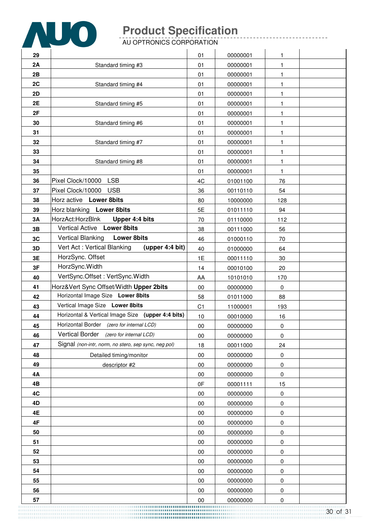

AU OPTRONICS CORPORATION

| 29       |                                                                   | 01             | 00000001             | 1           |  |
|----------|-------------------------------------------------------------------|----------------|----------------------|-------------|--|
| 2A       | Standard timing #3                                                | 01             | 00000001             | 1           |  |
| 2B       |                                                                   | 01             | 00000001             | 1           |  |
| 2C       | Standard timing #4                                                | 01             | 00000001             | 1           |  |
| 2D       |                                                                   | 01             | 00000001             | 1           |  |
| 2E       | Standard timing #5                                                | 01             | 00000001             | 1           |  |
| 2F       |                                                                   | 01             | 00000001             | 1           |  |
| 30       | Standard timing #6                                                | 01             | 00000001             | 1           |  |
| 31       |                                                                   | 01             | 00000001             | 1           |  |
| 32       | Standard timing #7                                                | 01             | 00000001             | 1           |  |
| 33       |                                                                   | 01             | 00000001             | 1           |  |
| 34       | Standard timing #8                                                | 01             | 00000001             | 1           |  |
| 35       |                                                                   | 01             | 00000001             | 1           |  |
| 36       | <b>LSB</b><br>Pixel Clock/10000                                   | 4C             | 01001100             | 76          |  |
| 37       | Pixel Clock/10000<br><b>USB</b>                                   | 36             | 00110110             | 54          |  |
| 38       | Horz active Lower 8bits                                           | 80             | 10000000             | 128         |  |
| 39       | Horz blanking Lower 8bits                                         | 5E             | 01011110             | 94          |  |
| 3A       | HorzAct:HorzBlnk<br>Upper 4:4 bits<br>Vertical Active Lower 8bits | 70             | 01110000             | 112         |  |
| 3B<br>3C | <b>Lower 8bits</b><br><b>Vertical Blanking</b>                    | 38<br>46       | 00111000             | 56          |  |
| 3D       | Vert Act: Vertical Blanking<br>(upper 4:4 bit)                    | 40             | 01000110<br>01000000 | 70<br>64    |  |
| 3E       | HorzSync. Offset                                                  | 1E             | 00011110             | 30          |  |
| 3F       | HorzSync. Width                                                   | 14             | 00010100             | 20          |  |
| 40       | VertSync.Offset: VertSync.Width                                   | AA             | 10101010             | 170         |  |
| 41       | Horz‖ Sync Offset/Width Upper 2bits                               | 00             | 00000000             | $\mathbf 0$ |  |
| 42       | Horizontal Image Size Lower 8bits                                 | 58             | 01011000             | 88          |  |
| 43       | Vertical Image Size Lower 8bits                                   | C <sub>1</sub> | 11000001             | 193         |  |
| 44       | Horizontal & Vertical Image Size (upper 4:4 bits)                 | 10             | 00010000             | 16          |  |
| 45       | Horizontal Border (zero for internal LCD)                         | 00             | 00000000             | $\pmb{0}$   |  |
| 46       | Vertical Border (zero for internal LCD)                           | 00             | 00000000             | 0           |  |
| 47       | Signal (non-intr, norm, no stero, sep sync, neg pol)              | 18             | 00011000             | 24          |  |
| 48       | Detailed timing/monitor                                           | 00             | 00000000             | 0           |  |
| 49       | descriptor #2                                                     | $00\,$         | 00000000             | 0           |  |
| 4A       |                                                                   | $00\,$         | 00000000             | $\pmb{0}$   |  |
| 4B       |                                                                   | 0F             | 00001111             | 15          |  |
| 4C       |                                                                   | $00\,$         | 00000000             | 0           |  |
| 4D       |                                                                   | 00             | 00000000             | $\pmb{0}$   |  |
| 4E       |                                                                   | 00             | 00000000             | 0           |  |
| 4F       |                                                                   | 00             | 00000000             | $\pmb{0}$   |  |
| 50       |                                                                   | 00             | 00000000             | 0           |  |
| 51<br>52 |                                                                   | 00<br>00       | 00000000<br>00000000 | 0<br>0      |  |
| 53       |                                                                   | $00\,$         | 00000000             | 0           |  |
| 54       |                                                                   | 00             | 00000000             | $\pmb{0}$   |  |
| 55       |                                                                   | 00             | 00000000             | 0           |  |
| 56       |                                                                   | $00\,$         | 00000000             | $\pmb{0}$   |  |
| 57       |                                                                   | $00\,$         | 00000000             | $\pmb{0}$   |  |
|          |                                                                   |                |                      |             |  |